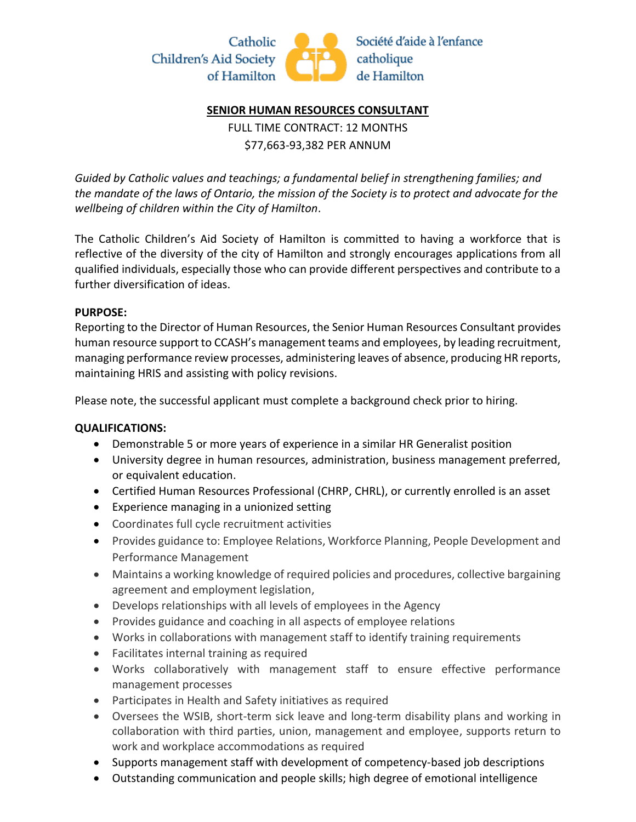

## **SENIOR HUMAN RESOURCES CONSULTANT**

FULL TIME CONTRACT: 12 MONTHS \$77,663-93,382 PER ANNUM

*Guided by Catholic values and teachings; a fundamental belief in strengthening families; and the mandate of the laws of Ontario, the mission of the Society is to protect and advocate for the wellbeing of children within the City of Hamilton*.

The Catholic Children's Aid Society of Hamilton is committed to having a workforce that is reflective of the diversity of the city of Hamilton and strongly encourages applications from all qualified individuals, especially those who can provide different perspectives and contribute to a further diversification of ideas.

## **PURPOSE:**

Reporting to the Director of Human Resources, the Senior Human Resources Consultant provides human resource support to CCASH's management teams and employees, by leading recruitment, managing performance review processes, administering leaves of absence, producing HR reports, maintaining HRIS and assisting with policy revisions.

Please note, the successful applicant must complete a background check prior to hiring.

## **QUALIFICATIONS:**

- Demonstrable 5 or more years of experience in a similar HR Generalist position
- University degree in human resources, administration, business management preferred, or equivalent education.
- Certified Human Resources Professional (CHRP, CHRL), or currently enrolled is an asset
- Experience managing in a unionized setting
- Coordinates full cycle recruitment activities
- Provides guidance to: Employee Relations, Workforce Planning, People Development and Performance Management
- Maintains a working knowledge of required policies and procedures, collective bargaining agreement and employment legislation,
- Develops relationships with all levels of employees in the Agency
- Provides guidance and coaching in all aspects of employee relations
- Works in collaborations with management staff to identify training requirements
- Facilitates internal training as required
- Works collaboratively with management staff to ensure effective performance management processes
- Participates in Health and Safety initiatives as required
- Oversees the WSIB, short-term sick leave and long-term disability plans and working in collaboration with third parties, union, management and employee, supports return to work and workplace accommodations as required
- Supports management staff with development of competency-based job descriptions
- Outstanding communication and people skills; high degree of emotional intelligence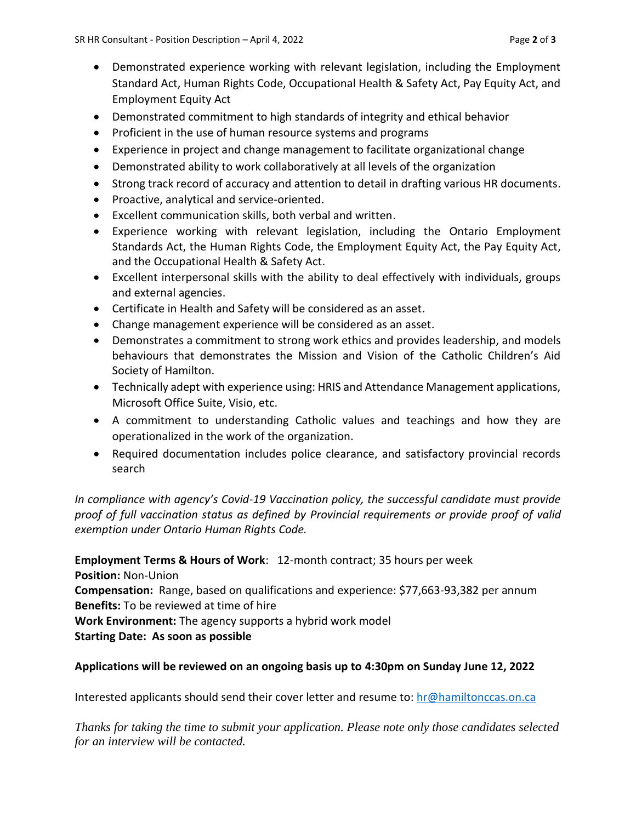- Demonstrated experience working with relevant legislation, including the Employment Standard Act, Human Rights Code, Occupational Health & Safety Act, Pay Equity Act, and Employment Equity Act
- Demonstrated commitment to high standards of integrity and ethical behavior
- Proficient in the use of human resource systems and programs
- Experience in project and change management to facilitate organizational change
- Demonstrated ability to work collaboratively at all levels of the organization
- Strong track record of accuracy and attention to detail in drafting various HR documents.
- Proactive, analytical and service-oriented.
- Excellent communication skills, both verbal and written.
- Experience working with relevant legislation, including the Ontario Employment Standards Act, the Human Rights Code, the Employment Equity Act, the Pay Equity Act, and the Occupational Health & Safety Act.
- Excellent interpersonal skills with the ability to deal effectively with individuals, groups and external agencies.
- Certificate in Health and Safety will be considered as an asset.
- Change management experience will be considered as an asset.
- Demonstrates a commitment to strong work ethics and provides leadership, and models behaviours that demonstrates the Mission and Vision of the Catholic Children's Aid Society of Hamilton.
- Technically adept with experience using: HRIS and Attendance Management applications, Microsoft Office Suite, Visio, etc.
- A commitment to understanding Catholic values and teachings and how they are operationalized in the work of the organization.
- Required documentation includes police clearance, and satisfactory provincial records search

*In compliance with agency's Covid-19 Vaccination policy, the successful candidate must provide proof of full vaccination status as defined by Provincial requirements or provide proof of valid exemption under Ontario Human Rights Code.*

**Employment Terms & Hours of Work**: 12-month contract; 35 hours per week

**Position:** Non-Union

**Compensation:** Range, based on qualifications and experience: \$77,663-93,382 per annum **Benefits:** To be reviewed at time of hire

**Work Environment:** The agency supports a hybrid work model

**Starting Date: As soon as possible**

## **Applications will be reviewed on an ongoing basis up to 4:30pm on Sunday June 12, 2022**

Interested applicants should send their cover letter and resume to: [hr@hamiltonccas.on.ca](mailto:hr@hamiltonccas.on.ca)

*Thanks for taking the time to submit your application. Please note only those candidates selected for an interview will be contacted.*